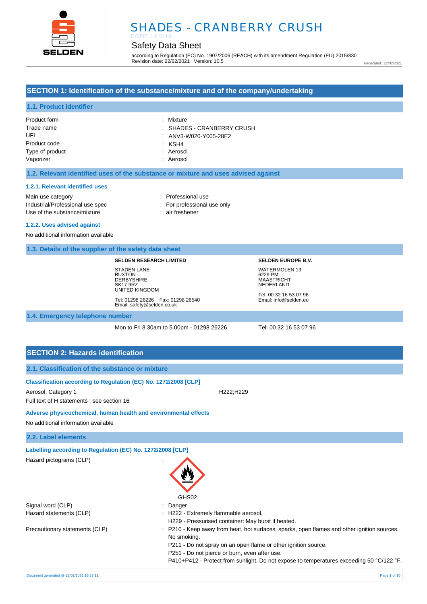

### Safety Data Sheet

according to Regulation (EC) No. 1907/2006 (REACH) with its amendment Regulation (EU) 2015/830 Revision date: 22/02/2021 Version: 10.5

Generated : 22/02/2021

### **SECTION 1: Identification of the substance/mixture and of the company/undertaking**

#### **1.1. Product identifier**

| Product form    | : Mixture                  |
|-----------------|----------------------------|
| Trade name      | : SHADES - CRANBERRY CRUSH |
| UFI             | : ANV3-W020-Y005-28E2      |
| Product code    | KSH4 K                     |
| Type of product | : Aerosol                  |
| Vaporizer       | : Aerosol                  |

#### **1.2. Relevant identified uses of the substance or mixture and uses advised against**

#### **1.2.1. Relevant identified uses**

Main use category **interest and the COV** and the Professional use Industrial/Professional use spec : For professional use only Use of the substance/mixture : air freshener

- 
- 

#### **1.2.2. Uses advised against**

No additional information available

#### **1.3. Details of the supplier of the safety data sheet**

#### **SELDEN RESEARCH LIMITED**

STADEN LANE **BUXTON DERBYSHIRE** SK17 9RZ UNITED KINGDOM Tel: 01298 26226 Fax: 01298 26540 Email: safety@selden.co.uk **SELDEN EUROPE B.V.** WATERMOLEN 13 6229 PM MAASTRICHT NEDERLAND

Tel: 00 32 16 53 07 96 Email: info@selden.eu

#### **1.4. Emergency telephone number**

Mon to Fri 8.30am to 5.00pm - 01298 26226 Tel: 00 32 16 53 07 96

P410+P412 - Protect from sunlight. Do not expose to temperatures exceeding 50 °C/122 °F.

### **SECTION 2: Hazards identification**

| 2.1. Classification of the substance or mixture                                                                                      |                                                                                                                                                                                                                               |
|--------------------------------------------------------------------------------------------------------------------------------------|-------------------------------------------------------------------------------------------------------------------------------------------------------------------------------------------------------------------------------|
| Classification according to Regulation (EC) No. 1272/2008 [CLP]<br>Aerosol, Category 1<br>Full text of H statements : see section 16 | H <sub>222</sub> ;H <sub>229</sub>                                                                                                                                                                                            |
| Adverse physicochemical, human health and environmental effects<br>No additional information available                               |                                                                                                                                                                                                                               |
| 2.2. Label elements                                                                                                                  |                                                                                                                                                                                                                               |
| Labelling according to Regulation (EC) No. 1272/2008 [CLP]                                                                           |                                                                                                                                                                                                                               |
| Hazard pictograms (CLP)                                                                                                              | GHS02                                                                                                                                                                                                                         |
| Signal word (CLP)                                                                                                                    | Danger                                                                                                                                                                                                                        |
| Hazard statements (CLP)                                                                                                              | : H222 - Extremely flammable aerosol.<br>H229 - Pressurised container: May burst if heated.                                                                                                                                   |
| Precautionary statements (CLP)                                                                                                       | : P210 - Keep away from heat, hot surfaces, sparks, open flames and other ignition sources.<br>No smoking.<br>P211 - Do not spray on an open flame or other ignition source.<br>P251 - Do not pierce or burn, even after use. |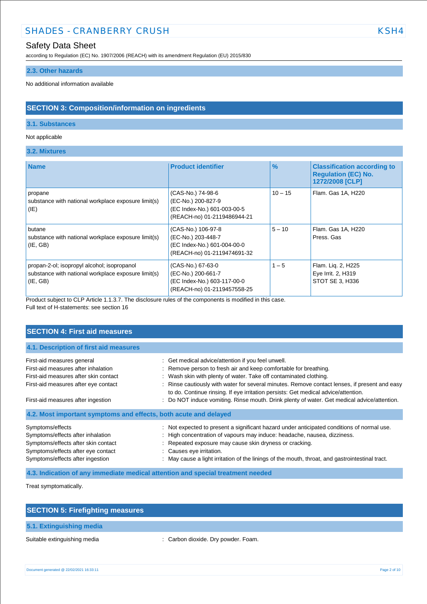### Safety Data Sheet

according to Regulation (EC) No. 1907/2006 (REACH) with its amendment Regulation (EU) 2015/830

#### **2.3. Other hazards**

No additional information available

### **SECTION 3: Composition/information on ingredients**

### **3.1. Substances**

#### Not applicable

### **3.2. Mixtures**

| <b>Name</b>                                                                                                    | <b>Product identifier</b>                                                                              | $\%$      | <b>Classification according to</b><br><b>Regulation (EC) No.</b><br>1272/2008 [CLP] |
|----------------------------------------------------------------------------------------------------------------|--------------------------------------------------------------------------------------------------------|-----------|-------------------------------------------------------------------------------------|
| propane<br>substance with national workplace exposure limit(s)<br>(IE)                                         | (CAS-No.) 74-98-6<br>(EC-No.) 200-827-9<br>(EC Index-No.) 601-003-00-5<br>(REACH-no) 01-2119486944-21  | $10 - 15$ | Flam. Gas 1A, H220                                                                  |
| butane<br>substance with national workplace exposure limit(s)<br>(IE, GB)                                      | (CAS-No.) 106-97-8<br>(EC-No.) 203-448-7<br>(EC Index-No.) 601-004-00-0<br>(REACH-no) 01-2119474691-32 | $5 - 10$  | Flam. Gas 1A, H220<br>Press, Gas                                                    |
| propan-2-ol; isopropyl alcohol; isopropanol<br>substance with national workplace exposure limit(s)<br>(IE, GB) | (CAS-No.) 67-63-0<br>(EC-No.) 200-661-7<br>(EC Index-No.) 603-117-00-0<br>(REACH-no) 01-2119457558-25  | $1 - 5$   | Flam. Lig. 2, H225<br>Eye Irrit. 2, H319<br>STOT SE 3, H336                         |

Product subject to CLP Article 1.1.3.7. The disclosure rules of the components is modified in this case. Full text of H-statements: see section 16

### **SECTION 4: First aid measures**

| 4.1. Description of first aid measures                           |                                                                                                                                                                                     |
|------------------------------------------------------------------|-------------------------------------------------------------------------------------------------------------------------------------------------------------------------------------|
| First-aid measures general                                       | : Get medical advice/attention if you feel unwell.                                                                                                                                  |
| First-aid measures after inhalation                              | : Remove person to fresh air and keep comfortable for breathing.                                                                                                                    |
| First-aid measures after skin contact                            | : Wash skin with plenty of water. Take off contaminated clothing.                                                                                                                   |
| First-aid measures after eye contact                             | : Rinse cautiously with water for several minutes. Remove contact lenses, if present and easy<br>to do. Continue rinsing. If eye irritation persists: Get medical advice/attention. |
| First-aid measures after ingestion                               | : Do NOT induce vomiting. Rinse mouth. Drink plenty of water. Get medical advice/attention.                                                                                         |
| 4.2. Most important symptoms and effects, both acute and delayed |                                                                                                                                                                                     |
| Symptoms/effects                                                 | : Not expected to present a significant hazard under anticipated conditions of normal use.                                                                                          |
| Symptoms/effects after inhalation                                | : High concentration of vapours may induce: headache, nausea, dizziness.                                                                                                            |
| Symptoms/effects after skin contact                              | : Repeated exposure may cause skin dryness or cracking.                                                                                                                             |
| Symptoms/effects after eye contact                               | : Causes eye irritation.                                                                                                                                                            |
| Symptoms/effects after ingestion                                 | : May cause a light irritation of the linings of the mouth, throat, and gastrointestinal tract.                                                                                     |

**4.3. Indication of any immediate medical attention and special treatment needed**

Treat symptomatically.

| <b>SECTION 5: Firefighting measures</b> |                                     |
|-----------------------------------------|-------------------------------------|
| 5.1. Extinguishing media                |                                     |
| Suitable extinguishing media            | : Carbon dioxide. Dry powder. Foam. |

Document generated @ 22/02/2021 16:33:11 Page 2 of 10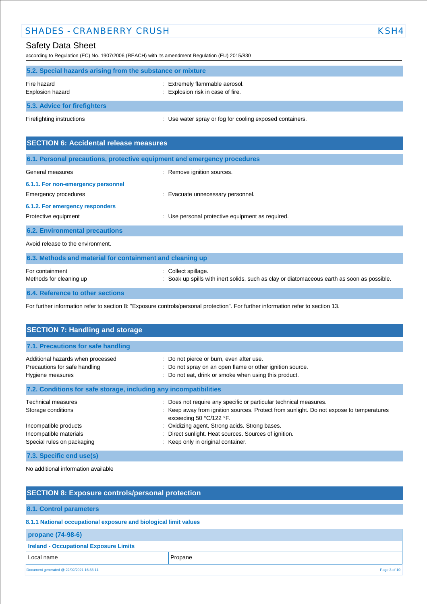### Safety Data Sheet

according to Regulation (EC) No. 1907/2006 (REACH) with its amendment Regulation (EU) 2015/830

| 5.2. Special hazards arising from the substance or mixture |                                                                     |  |
|------------------------------------------------------------|---------------------------------------------------------------------|--|
| Fire hazard<br>Explosion hazard                            | : Extremely flammable aerosol.<br>: Explosion risk in case of fire. |  |
| 5.3. Advice for firefighters                               |                                                                     |  |
| Firefighting instructions                                  | : Use water spray or fog for cooling exposed containers.            |  |

| <b>SECTION 6: Accidental release measures</b>                            |                                                                                                                |  |
|--------------------------------------------------------------------------|----------------------------------------------------------------------------------------------------------------|--|
| 6.1. Personal precautions, protective equipment and emergency procedures |                                                                                                                |  |
| General measures                                                         | : Remove ignition sources.                                                                                     |  |
| 6.1.1. For non-emergency personnel                                       |                                                                                                                |  |
| Emergency procedures                                                     | : Evacuate unnecessary personnel.                                                                              |  |
| 6.1.2. For emergency responders                                          |                                                                                                                |  |
| Protective equipment                                                     | : Use personal protective equipment as required.                                                               |  |
| <b>6.2. Environmental precautions</b>                                    |                                                                                                                |  |
| Avoid release to the environment.                                        |                                                                                                                |  |
| 6.3. Methods and material for containment and cleaning up                |                                                                                                                |  |
| For containment<br>Methods for cleaning up                               | Collect spillage.<br>Soak up spills with inert solids, such as clay or diatomaceous earth as soon as possible. |  |
| 6.4. Reference to other sections                                         |                                                                                                                |  |

For further information refer to section 8: "Exposure controls/personal protection". For further information refer to section 13.

| <b>SECTION 7: Handling and storage</b>                                                 |                                                                                                                                                                                         |  |
|----------------------------------------------------------------------------------------|-----------------------------------------------------------------------------------------------------------------------------------------------------------------------------------------|--|
| 7.1. Precautions for safe handling                                                     |                                                                                                                                                                                         |  |
| Additional hazards when processed<br>Precautions for safe handling<br>Hygiene measures | : Do not pierce or burn, even after use.<br>: Do not spray on an open flame or other ignition source.<br>: Do not eat, drink or smoke when using this product.                          |  |
| 7.2. Conditions for safe storage, including any incompatibilities                      |                                                                                                                                                                                         |  |
| Technical measures<br>Storage conditions                                               | : Does not require any specific or particular technical measures.<br>: Keep away from ignition sources. Protect from sunlight. Do not expose to temperatures<br>exceeding 50 °C/122 °F. |  |
| Incompatible products<br>Incompatible materials<br>Special rules on packaging          | : Oxidizing agent. Strong acids. Strong bases.<br>Direct sunlight. Heat sources. Sources of ignition.<br>: Keep only in original container.                                             |  |
| 7.3. Specific end use(s)                                                               |                                                                                                                                                                                         |  |

No additional information available

| <b>SECTION 8: Exposure controls/personal protection</b>          |              |  |  |
|------------------------------------------------------------------|--------------|--|--|
|                                                                  |              |  |  |
| 8.1. Control parameters                                          |              |  |  |
| 8.1.1 National occupational exposure and biological limit values |              |  |  |
| propane (74-98-6)                                                |              |  |  |
| <b>Ireland - Occupational Exposure Limits</b>                    |              |  |  |
| Local name                                                       | Propane      |  |  |
| Document generated @ 22/02/2021 16:33:11                         | Page 3 of 10 |  |  |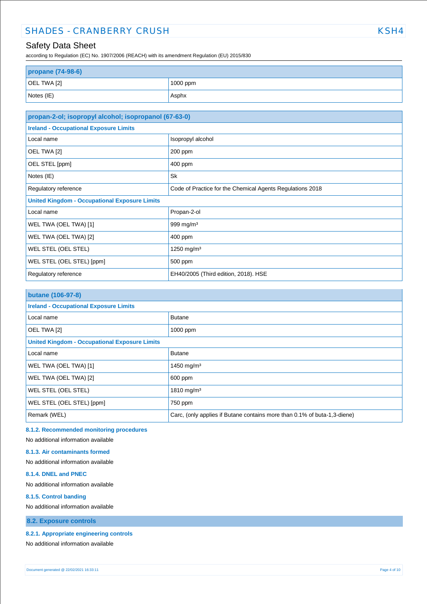according to Regulation (EC) No. 1907/2006 (REACH) with its amendment Regulation (EU) 2015/830

| propane (74-98-6) |            |  |
|-------------------|------------|--|
| OEL TWA [2]       | $1000$ ppm |  |
| Notes (IE)        | Asphx      |  |

| propan-2-ol; isopropyl alcohol; isopropanol (67-63-0) |                                                           |  |
|-------------------------------------------------------|-----------------------------------------------------------|--|
| <b>Ireland - Occupational Exposure Limits</b>         |                                                           |  |
| Local name                                            | Isopropyl alcohol                                         |  |
| OEL TWA [2]                                           | 200 ppm                                                   |  |
| OEL STEL [ppm]                                        | 400 ppm                                                   |  |
| Notes (IE)                                            | Sk                                                        |  |
| Regulatory reference                                  | Code of Practice for the Chemical Agents Regulations 2018 |  |
| <b>United Kingdom - Occupational Exposure Limits</b>  |                                                           |  |
| Local name                                            | Propan-2-ol                                               |  |
| WEL TWA (OEL TWA) [1]                                 | 999 mg/m <sup>3</sup>                                     |  |
| WEL TWA (OEL TWA) [2]                                 | 400 ppm                                                   |  |
| WEL STEL (OEL STEL)                                   | 1250 mg/m <sup>3</sup>                                    |  |
| WEL STEL (OEL STEL) [ppm]                             | 500 ppm                                                   |  |
| Regulatory reference                                  | EH40/2005 (Third edition, 2018). HSE                      |  |

| <b>butane (106-97-8)</b>                             |                                                                          |  |
|------------------------------------------------------|--------------------------------------------------------------------------|--|
| <b>Ireland - Occupational Exposure Limits</b>        |                                                                          |  |
| Local name                                           | <b>Butane</b>                                                            |  |
| OEL TWA [2]                                          | 1000 ppm                                                                 |  |
| <b>United Kingdom - Occupational Exposure Limits</b> |                                                                          |  |
| Local name                                           | <b>Butane</b>                                                            |  |
| WEL TWA (OEL TWA) [1]                                | 1450 mg/m <sup>3</sup>                                                   |  |
| WEL TWA (OEL TWA) [2]                                | 600 ppm                                                                  |  |
| <b>WEL STEL (OEL STEL)</b>                           | 1810 mg/m <sup>3</sup>                                                   |  |
| WEL STEL (OEL STEL) [ppm]                            | 750 ppm                                                                  |  |
| Remark (WEL)                                         | Carc, (only applies if Butane contains more than 0.1% of buta-1,3-diene) |  |

#### **8.1.2. Recommended monitoring procedures**

No additional information available

**8.1.3. Air contaminants formed** 

No additional information available

#### **8.1.4. DNEL and PNEC**

No additional information available

#### **8.1.5. Control banding**

No additional information available

**8.2. Exposure controls**

#### **8.2.1. Appropriate engineering controls**

No additional information available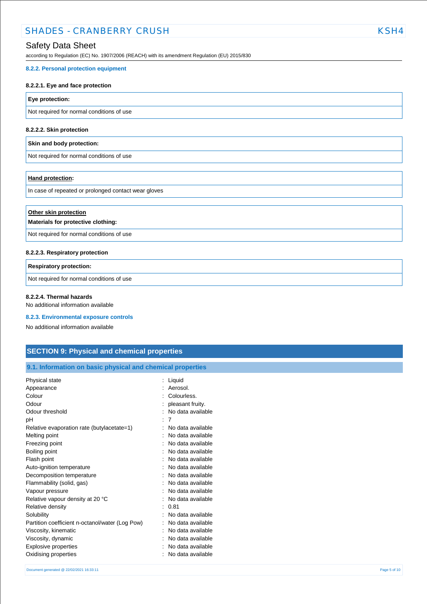### Safety Data Sheet

according to Regulation (EC) No. 1907/2006 (REACH) with its amendment Regulation (EU) 2015/830

#### **8.2.2. Personal protection equipment**

#### **8.2.2.1. Eye and face protection**

**Eye protection:**

Not required for normal conditions of use

#### **8.2.2.2. Skin protection**

#### **Skin and body protection:**

Not required for normal conditions of use

#### **Hand protection:**

In case of repeated or prolonged contact wear gloves

| Other skin protection<br>Materials for protective clothing: |  |
|-------------------------------------------------------------|--|
| Not required for normal conditions of use                   |  |
| 8.2.2.3. Respiratory protection                             |  |

# **Respiratory protection:**

Not required for normal conditions of use

### **8.2.2.4. Thermal hazards**

No additional information available

#### **8.2.3. Environmental exposure controls**

No additional information available

### **SECTION 9: Physical and chemical properties**

| Physical state                                  | Liquid            |
|-------------------------------------------------|-------------------|
| Appearance                                      | Aerosol.          |
| Colour                                          | Colourless.       |
| Odour                                           | pleasant fruity.  |
| Odour threshold                                 | No data available |
| рH                                              | 7                 |
| Relative evaporation rate (butylacetate=1)      | No data available |
| Melting point                                   | No data available |
| Freezing point                                  | No data available |
| Boiling point                                   | No data available |
| Flash point                                     | No data available |
| Auto-ignition temperature                       | No data available |
| Decomposition temperature                       | No data available |
| Flammability (solid, gas)                       | No data available |
| Vapour pressure                                 | No data available |
| Relative vapour density at 20 °C                | No data available |
| Relative density                                | 0.81              |
| Solubility                                      | No data available |
| Partition coefficient n-octanol/water (Log Pow) | No data available |
| Viscosity, kinematic                            | No data available |
| Viscosity, dynamic                              | No data available |
| Explosive properties                            | No data available |
| Oxidising properties                            | No data available |
|                                                 |                   |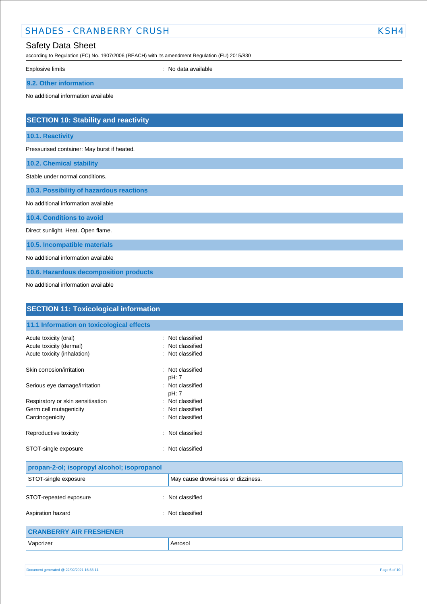| <b>SHADES - CRANBERRY CRUSH</b>                  |                                                                                                | KSH4 |
|--------------------------------------------------|------------------------------------------------------------------------------------------------|------|
| <b>Safety Data Sheet</b>                         | according to Regulation (EC) No. 1907/2006 (REACH) with its amendment Regulation (EU) 2015/830 |      |
| <b>Explosive limits</b>                          | : No data available                                                                            |      |
| 9.2. Other information                           |                                                                                                |      |
| No additional information available              |                                                                                                |      |
| <b>SECTION 10: Stability and reactivity</b>      |                                                                                                |      |
| 10.1. Reactivity                                 |                                                                                                |      |
| Pressurised container: May burst if heated.      |                                                                                                |      |
| 10.2. Chemical stability                         |                                                                                                |      |
| Stable under normal conditions.                  |                                                                                                |      |
| 10.3. Possibility of hazardous reactions         |                                                                                                |      |
| No additional information available              |                                                                                                |      |
| 10.4. Conditions to avoid                        |                                                                                                |      |
| Direct sunlight. Heat. Open flame.               |                                                                                                |      |
| 10.5. Incompatible materials                     |                                                                                                |      |
| No additional information available              |                                                                                                |      |
| 10.6. Hazardous decomposition products           |                                                                                                |      |
| No additional information available              |                                                                                                |      |
| <b>SECTION 11: Toxicological information</b>     |                                                                                                |      |
| 11.1 Information on toxicological effects        |                                                                                                |      |
| Acute toxicity (oral)<br>Acute toxicity (dermal) | Not classified<br>Not classified                                                               |      |

| Acute toxicity (inhalation)       | : Not classified          |
|-----------------------------------|---------------------------|
| Skin corrosion/irritation         | : Not classified<br>pH: 7 |
| Serious eye damage/irritation     | : Not classified<br>pH: 7 |
| Respiratory or skin sensitisation | : Not classified          |
| Germ cell mutagenicity            | : Not classified          |
| Carcinogenicity                   | : Not classified          |
| Reproductive toxicity             | Not classified<br>÷.      |
| STOT-single exposure              | : Not classified          |

| propan-2-ol; isopropyl alcohol; isopropanol |                                    |  |
|---------------------------------------------|------------------------------------|--|
| STOT-single exposure                        | May cause drowsiness or dizziness. |  |
| STOT-repeated exposure<br>$\sim$            | Not classified                     |  |
| Aspiration hazard                           | : Not classified                   |  |
| ABANDERBY AIR EREAUENER                     |                                    |  |

| <b>CRANBERRY AIR FRESHENER</b> |         |
|--------------------------------|---------|
| Vaporizer                      | Aerosol |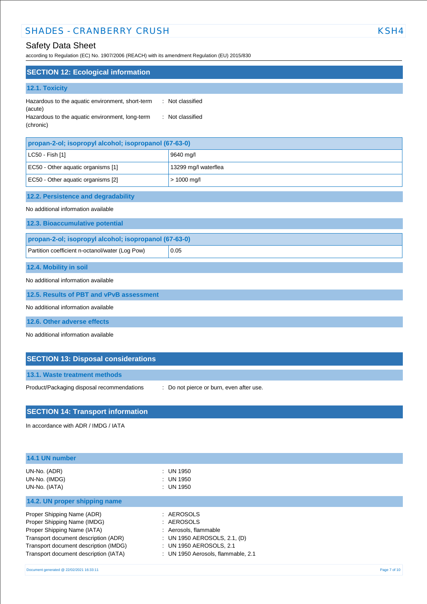### Safety Data Sheet

according to Regulation (EC) No. 1907/2006 (REACH) with its amendment Regulation (EU) 2015/830

| <b>SECTION 12: Ecological information</b>                                                                                   |                                      |  |
|-----------------------------------------------------------------------------------------------------------------------------|--------------------------------------|--|
| 12.1. Toxicity                                                                                                              |                                      |  |
| Hazardous to the aquatic environment, short-term<br>(acute)<br>Hazardous to the aquatic environment, long-term<br>(chronic) | : Not classified<br>: Not classified |  |
| propan-2-ol; isopropyl alcohol; isopropanol (67-63-0)                                                                       |                                      |  |
| LC50 - Fish [1]                                                                                                             | 9640 mg/l                            |  |
| EC50 - Other aquatic organisms [1]                                                                                          | 13299 mg/l waterflea                 |  |
| EC50 - Other aquatic organisms [2]                                                                                          | $> 1000$ mg/l                        |  |
| 12.2. Persistence and degradability                                                                                         |                                      |  |
| No additional information available                                                                                         |                                      |  |
| 12.3. Bioaccumulative potential                                                                                             |                                      |  |
| propan-2-ol; isopropyl alcohol; isopropanol (67-63-0)                                                                       |                                      |  |
| Partition coefficient n-octanol/water (Log Pow)                                                                             | 0.05                                 |  |
| 12.4. Mobility in soil                                                                                                      |                                      |  |

No additional information available

**12.5. Results of PBT and vPvB assessment**

No additional information available

**12.6. Other adverse effects**

No additional information available

| <b>SECTION 13: Disposal considerations</b> |  |  |
|--------------------------------------------|--|--|
|                                            |  |  |

**13.1. Waste treatment methods**

Product/Packaging disposal recommendations : Do not pierce or burn, even after use.

# **SECTION 14: Transport information**

In accordance with ADR / IMDG / IATA

| 14.1 UN number                                                                                                                                                                                                     |                                                                                                                                                      |              |
|--------------------------------------------------------------------------------------------------------------------------------------------------------------------------------------------------------------------|------------------------------------------------------------------------------------------------------------------------------------------------------|--------------|
| UN-No. (ADR)<br>UN-No. (IMDG)<br>UN-No. (IATA)                                                                                                                                                                     | : UN 1950<br>$:$ UN 1950<br>$:$ UN 1950                                                                                                              |              |
| 14.2. UN proper shipping name                                                                                                                                                                                      |                                                                                                                                                      |              |
| Proper Shipping Name (ADR)<br>Proper Shipping Name (IMDG)<br>Proper Shipping Name (IATA)<br>Transport document description (ADR)<br>Transport document description (IMDG)<br>Transport document description (IATA) | : AEROSOLS<br>: AEROSOLS<br>: Aerosols, flammable<br>: UN 1950 AEROSOLS, 2.1, $(D)$<br>: UN 1950 AEROSOLS, 2.1<br>: UN 1950 Aerosols, flammable, 2.1 |              |
| Document generated @ 22/02/2021 16:33:11                                                                                                                                                                           |                                                                                                                                                      | Page 7 of 10 |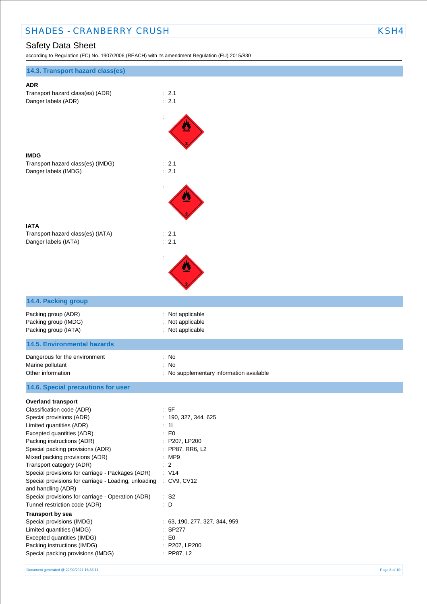## Safety Data Sheet

according to Regulation (EC) No. 1907/2006 (REACH) with its amendment Regulation (EU) 2015/830

| 14.3. Transport hazard class(es)                                                                                                                                                                                                                                                                                                                                                                                                                                                                                                                                                                     |                                                                                                                                                                                                           |
|------------------------------------------------------------------------------------------------------------------------------------------------------------------------------------------------------------------------------------------------------------------------------------------------------------------------------------------------------------------------------------------------------------------------------------------------------------------------------------------------------------------------------------------------------------------------------------------------------|-----------------------------------------------------------------------------------------------------------------------------------------------------------------------------------------------------------|
| <b>ADR</b><br>Transport hazard class(es) (ADR)<br>Danger labels (ADR)                                                                                                                                                                                                                                                                                                                                                                                                                                                                                                                                | $\therefore$ 2.1<br>: 2.1                                                                                                                                                                                 |
|                                                                                                                                                                                                                                                                                                                                                                                                                                                                                                                                                                                                      |                                                                                                                                                                                                           |
| <b>IMDG</b><br>Transport hazard class(es) (IMDG)<br>Danger labels (IMDG)                                                                                                                                                                                                                                                                                                                                                                                                                                                                                                                             | $\therefore$ 2.1<br>: 2.1                                                                                                                                                                                 |
|                                                                                                                                                                                                                                                                                                                                                                                                                                                                                                                                                                                                      |                                                                                                                                                                                                           |
| <b>IATA</b><br>Transport hazard class(es) (IATA)<br>Danger labels (IATA)                                                                                                                                                                                                                                                                                                                                                                                                                                                                                                                             | : 2.1<br>: 2.1                                                                                                                                                                                            |
|                                                                                                                                                                                                                                                                                                                                                                                                                                                                                                                                                                                                      |                                                                                                                                                                                                           |
| 14.4. Packing group                                                                                                                                                                                                                                                                                                                                                                                                                                                                                                                                                                                  |                                                                                                                                                                                                           |
| Packing group (ADR)<br>Packing group (IMDG)<br>Packing group (IATA)                                                                                                                                                                                                                                                                                                                                                                                                                                                                                                                                  | Not applicable<br>Not applicable<br>Not applicable                                                                                                                                                        |
| <b>14.5. Environmental hazards</b>                                                                                                                                                                                                                                                                                                                                                                                                                                                                                                                                                                   |                                                                                                                                                                                                           |
| Dangerous for the environment<br>Marine pollutant<br>Other information                                                                                                                                                                                                                                                                                                                                                                                                                                                                                                                               | : No<br>$\ddot{\cdot}$<br>No<br>: No supplementary information available                                                                                                                                  |
| 14.6. Special precautions for user                                                                                                                                                                                                                                                                                                                                                                                                                                                                                                                                                                   |                                                                                                                                                                                                           |
| <b>Overland transport</b><br>Classification code (ADR)<br>Special provisions (ADR)<br>Limited quantities (ADR)<br>Excepted quantities (ADR)<br>Packing instructions (ADR)<br>Special packing provisions (ADR)<br>Mixed packing provisions (ADR)<br>Transport category (ADR)<br>Special provisions for carriage - Packages (ADR)<br>Special provisions for carriage - Loading, unloading : CV9, CV12<br>and handling (ADR)<br>Special provisions for carriage - Operation (ADR)<br>Tunnel restriction code (ADR)<br><b>Transport by sea</b><br>Special provisions (IMDG)<br>Limited quantities (IMDG) | : 5F<br>: 190, 327, 344, 625<br>: 11<br>E <sub>0</sub><br>÷.<br>: P207, LP200<br>: PP87, RR6, L2<br>:MP9<br>$\therefore$ 2<br>: V14<br>$\therefore$ S2<br>: D<br>: 63, 190, 277, 327, 344, 959<br>: SP277 |
| Excepted quantities (IMDG)<br>Packing instructions (IMDG)<br>Special packing provisions (IMDG)                                                                                                                                                                                                                                                                                                                                                                                                                                                                                                       | $\therefore$ EO<br>: P207, LP200<br>: PP87, L2                                                                                                                                                            |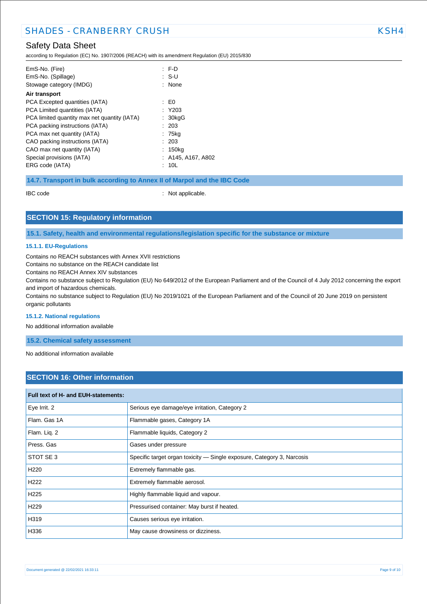### Safety Data Sheet

according to Regulation (EC) No. 1907/2006 (REACH) with its amendment Regulation (EU) 2015/830

| EmS-No. (Fire)                               | F.D                |
|----------------------------------------------|--------------------|
| EmS-No. (Spillage)                           | : SU               |
| Stowage category (IMDG)                      | : None             |
| Air transport                                |                    |
| PCA Excepted quantities (IATA)               | : E0               |
| PCA Limited quantities (IATA)                | $:$ Y203           |
| PCA limited quantity max net quantity (IATA) | $: 30$ kgG         |
| PCA packing instructions (IATA)              | : 203              |
| PCA max net quantity (IATA)                  | : 75kg             |
| CAO packing instructions (IATA)              | : 203              |
| CAO max net quantity (IATA)                  | : 150kg            |
| Special provisions (IATA)                    | : A145, A167, A802 |
| ERG code (IATA)                              | : 10L              |
|                                              |                    |

**14.7. Transport in bulk according to Annex II of Marpol and the IBC Code**

IBC code : Not applicable.

### **SECTION 15: Regulatory information**

**15.1. Safety, health and environmental regulations/legislation specific for the substance or mixture**

#### **15.1.1. EU-Regulations**

Contains no REACH substances with Annex XVII restrictions

Contains no substance on the REACH candidate list

Contains no REACH Annex XIV substances

Contains no substance subject to Regulation (EU) No 649/2012 of the European Parliament and of the Council of 4 July 2012 concerning the export and import of hazardous chemicals.

Contains no substance subject to Regulation (EU) No 2019/1021 of the European Parliament and of the Council of 20 June 2019 on persistent organic pollutants

#### **15.1.2. National regulations**

No additional information available

**15.2. Chemical safety assessment**

No additional information available

### **SECTION 16: Other information**

| Full text of H- and EUH-statements: |                                                                        |  |
|-------------------------------------|------------------------------------------------------------------------|--|
| Eye Irrit. 2                        | Serious eye damage/eye irritation, Category 2                          |  |
| Flam. Gas 1A                        | Flammable gases, Category 1A                                           |  |
| Flam. Liq. 2                        | Flammable liquids, Category 2                                          |  |
| Press. Gas                          | Gases under pressure                                                   |  |
| STOT SE 3                           | Specific target organ toxicity - Single exposure, Category 3, Narcosis |  |
| H <sub>220</sub>                    | Extremely flammable gas.                                               |  |
| H <sub>222</sub>                    | Extremely flammable aerosol.                                           |  |
| H <sub>225</sub>                    | Highly flammable liquid and vapour.                                    |  |
| H <sub>229</sub>                    | Pressurised container: May burst if heated.                            |  |
| H319                                | Causes serious eye irritation.                                         |  |
| H336                                | May cause drowsiness or dizziness.                                     |  |